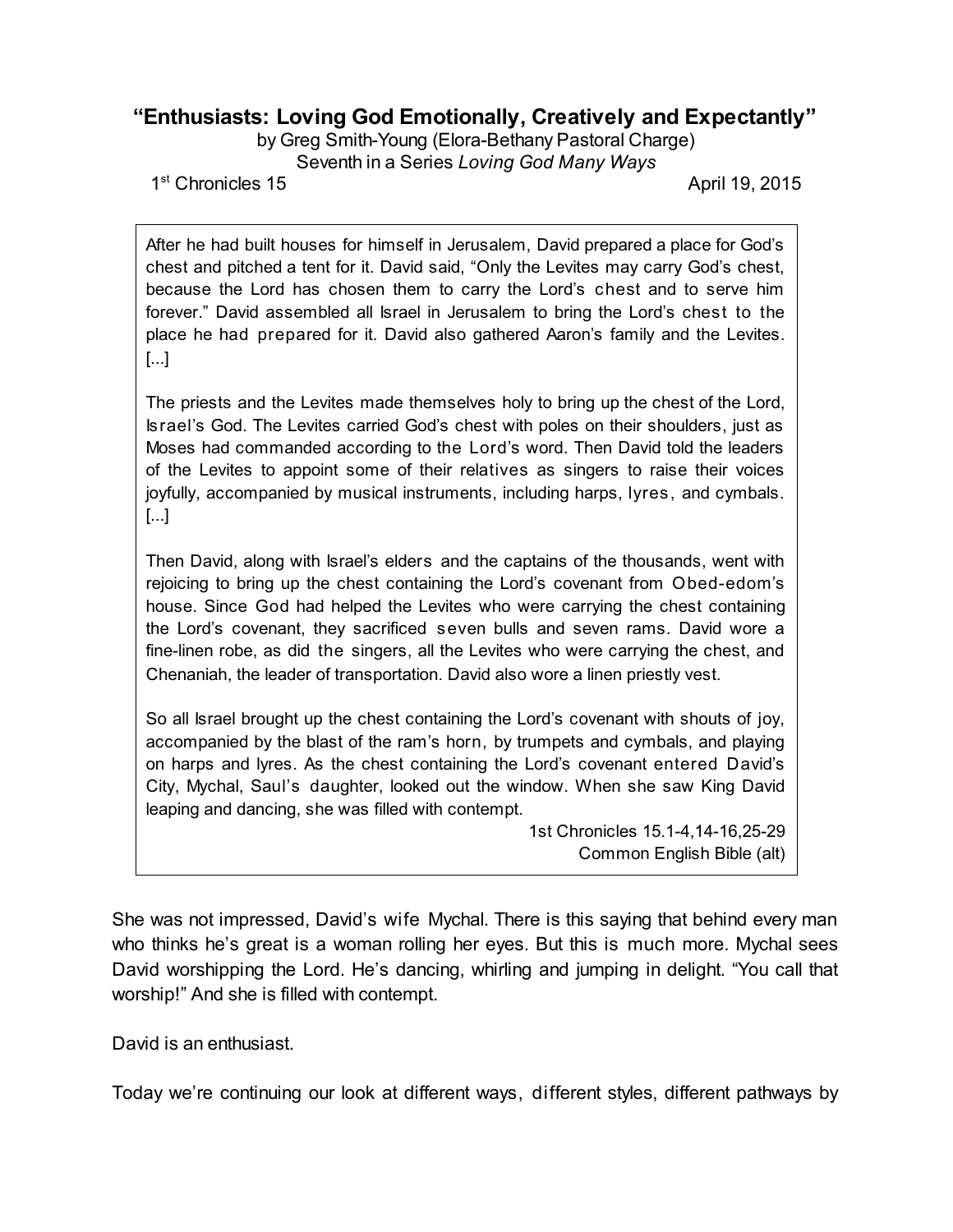## **"Enthusiasts: Loving God Emotionally, Creatively and Expectantly"**

by Greg Smith-Young (Elora-Bethany Pastoral Charge) Seventh in a Series *Loving God Many Ways*

1<sup>st</sup> Chronicles 15

April 19, 2015

After he had built houses for himself in Jerusalem, David prepared a place for God's chest and pitched a tent for it. David said, "Only the Levites may carry God's chest, because the Lord has chosen them to carry the Lord's chest and to serve him forever." David assembled all Israel in Jerusalem to bring the Lord's chest to the place he had prepared for it. David also gathered Aaron's family and the Levites. [...]

The priests and the Levites made themselves holy to bring up the chest of the Lord, Israel's God. The Levites carried God's chest with poles on their shoulders, just as Moses had commanded according to the Lord's word. Then David told the leaders of the Levites to appoint some of their relatives as singers to raise their voices joyfully, accompanied by musical instruments, including harps, lyres, and cymbals. [...]

Then David, along with Israel's elders and the captains of the thousands, went with rejoicing to bring up the chest containing the Lord's covenant from Obed-edom's house. Since God had helped the Levites who were carrying the chest containing the Lord's covenant, they sacrificed seven bulls and seven rams. David wore a fine-linen robe, as did the singers, all the Levites who were carrying the chest, and Chenaniah, the leader of transportation. David also wore a linen priestly vest.

So all Israel brought up the chest containing the Lord's covenant with shouts of joy, accompanied by the blast of the ram's horn, by trumpets and cymbals, and playing on harps and lyres. As the chest containing the Lord's covenant entered David's City, Mychal, Saul's daughter, looked out the window. When she saw King David leaping and dancing, she was filled with contempt.

> 1st Chronicles 15.1-4,14-16,25-29 Common English Bible (alt)

She was not impressed, David's wife Mychal. There is this saying that behind every man who thinks he's great is a woman rolling her eyes. But this is much more. Mychal sees David worshipping the Lord. He's dancing, whirling and jumping in delight. "You call that worship!" And she is filled with contempt.

David is an enthusiast.

Today we're continuing our look at different ways, different styles, different pathways by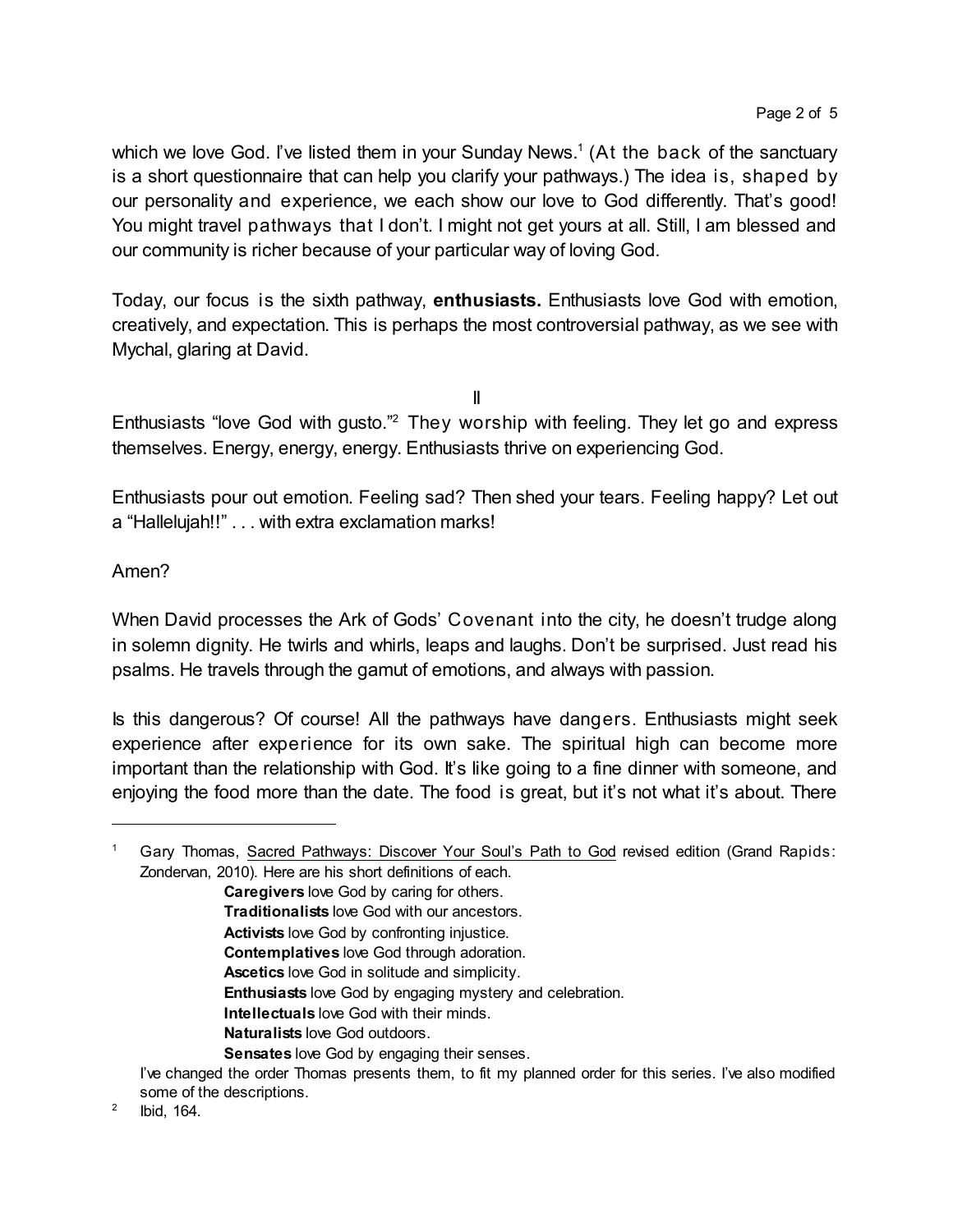which we love God. I've listed them in your Sunday News.<sup>1</sup> (At the back of the sanctuary is a short questionnaire that can help you clarify your pathways.) The idea is, shaped by our personality and experience, we each show our love to God differently. That's good! You might travel pathways that I don't. I might not get yours at all. Still, I am blessed and our community is richer because of your particular way of loving God.

Today, our focus is the sixth pathway, **enthusiasts.** Enthusiasts love God with emotion, creatively, and expectation. This is perhaps the most controversial pathway, as we see with Mychal, glaring at David.

II

Enthusiasts "love God with gusto."<sup>2</sup> They worship with feeling. They let go and express themselves. Energy, energy, energy. Enthusiasts thrive on experiencing God.

Enthusiasts pour out emotion. Feeling sad? Then shed your tears. Feeling happy? Let out a "Hallelujah!!" . . . with extra exclamation marks!

## Amen?

When David processes the Ark of Gods' Covenant into the city, he doesn't trudge along in solemn dignity. He twirls and whirls, leaps and laughs. Don't be surprised. Just read his psalms. He travels through the gamut of emotions, and always with passion.

Is this dangerous? Of course! All the pathways have dangers. Enthusiasts might seek experience after experience for its own sake. The spiritual high can become more important than the relationship with God. It's like going to a fine dinner with someone, and enjoying the food more than the date. The food is great, but it's not what it's about. There

<sup>1</sup> Gary Thomas, Sacred Pathways: Discover Your Soul's Path to God revised edition (Grand Rapids: Zondervan, 2010). Here are his short definitions of each.

**Caregivers** love God by caring for others. **Traditionalists** love God with our ancestors. **Activists** love God by confronting injustice. **Contemplatives** love God through adoration. **Ascetics** love God in solitude and simplicity. **Enthusiasts** love God by engaging mystery and celebration. **Intellectuals** love God with their minds. **Naturalists** love God outdoors. **Sensates** love God by engaging their senses.

I've changed the order Thomas presents them, to fit my planned order for this series. I've also modified some of the descriptions.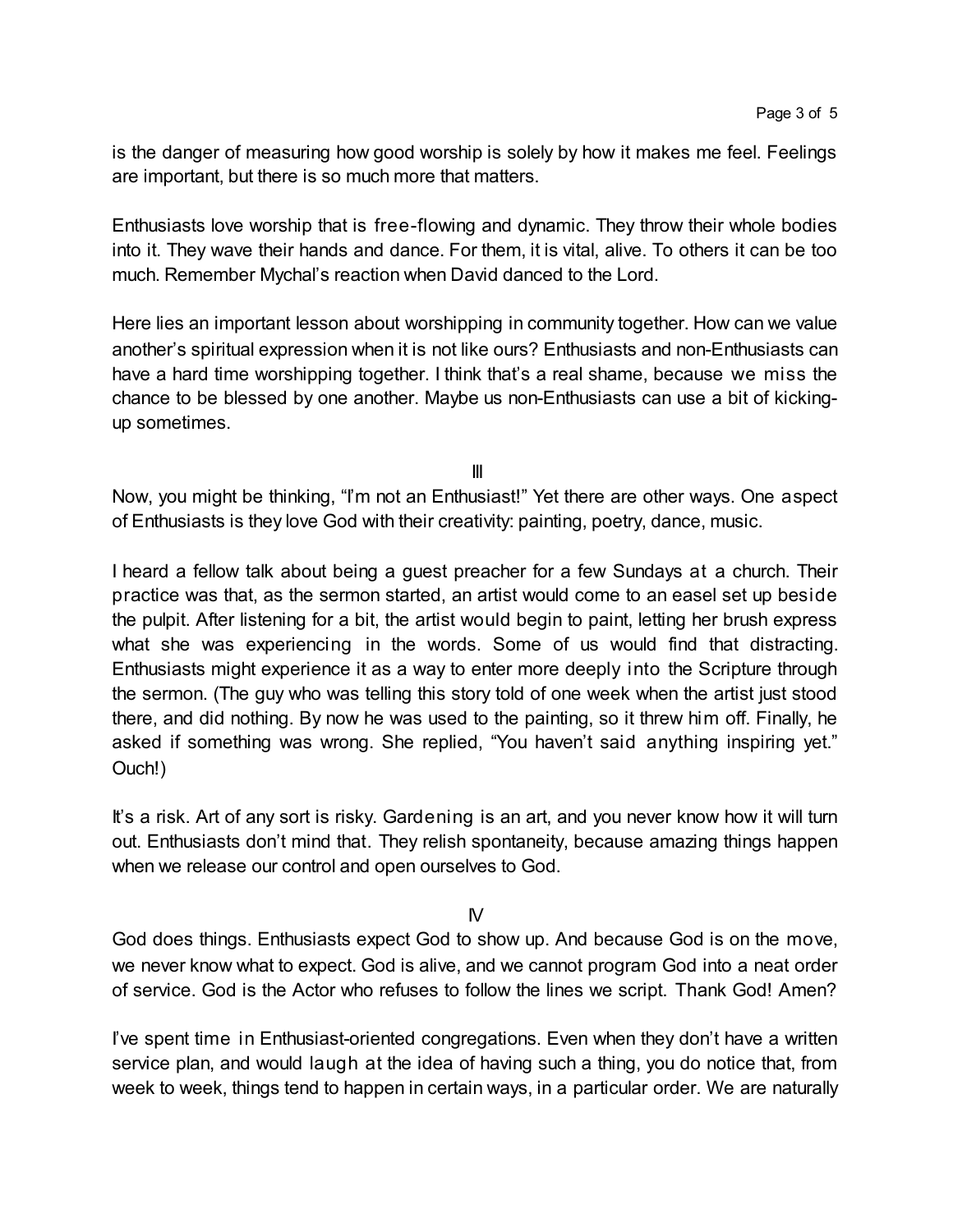is the danger of measuring how good worship is solely by how it makes me feel. Feelings are important, but there is so much more that matters.

Enthusiasts love worship that is free-flowing and dynamic. They throw their whole bodies into it. They wave their hands and dance. For them, it is vital, alive. To others it can be too much. Remember Mychal's reaction when David danced to the Lord.

Here lies an important lesson about worshipping in community together. How can we value another's spiritual expression when it is not like ours? Enthusiasts and non-Enthusiasts can have a hard time worshipping together. I think that's a real shame, because we miss the chance to be blessed by one another. Maybe us non-Enthusiasts can use a bit of kickingup sometimes.

III

Now, you might be thinking, "I'm not an Enthusiast!" Yet there are other ways. One aspect of Enthusiasts is they love God with their creativity: painting, poetry, dance, music.

I heard a fellow talk about being a guest preacher for a few Sundays at a church. Their practice was that, as the sermon started, an artist would come to an easel set up beside the pulpit. After listening for a bit, the artist would begin to paint, letting her brush express what she was experiencing in the words. Some of us would find that distracting. Enthusiasts might experience it as a way to enter more deeply into the Scripture through the sermon. (The guy who was telling this story told of one week when the artist just stood there, and did nothing. By now he was used to the painting, so it threw him off. Finally, he asked if something was wrong. She replied, "You haven't said anything inspiring yet." Ouch!)

It's a risk. Art of any sort is risky. Gardening is an art, and you never know how it will turn out. Enthusiasts don't mind that. They relish spontaneity, because amazing things happen when we release our control and open ourselves to God.

 $N$ 

God does things. Enthusiasts expect God to show up. And because God is on the move, we never know what to expect. God is alive, and we cannot program God into a neat order of service. God is the Actor who refuses to follow the lines we script. Thank God! Amen?

I've spent time in Enthusiast-oriented congregations. Even when they don't have a written service plan, and would laugh at the idea of having such a thing, you do notice that, from week to week, things tend to happen in certain ways, in a particular order. We are naturally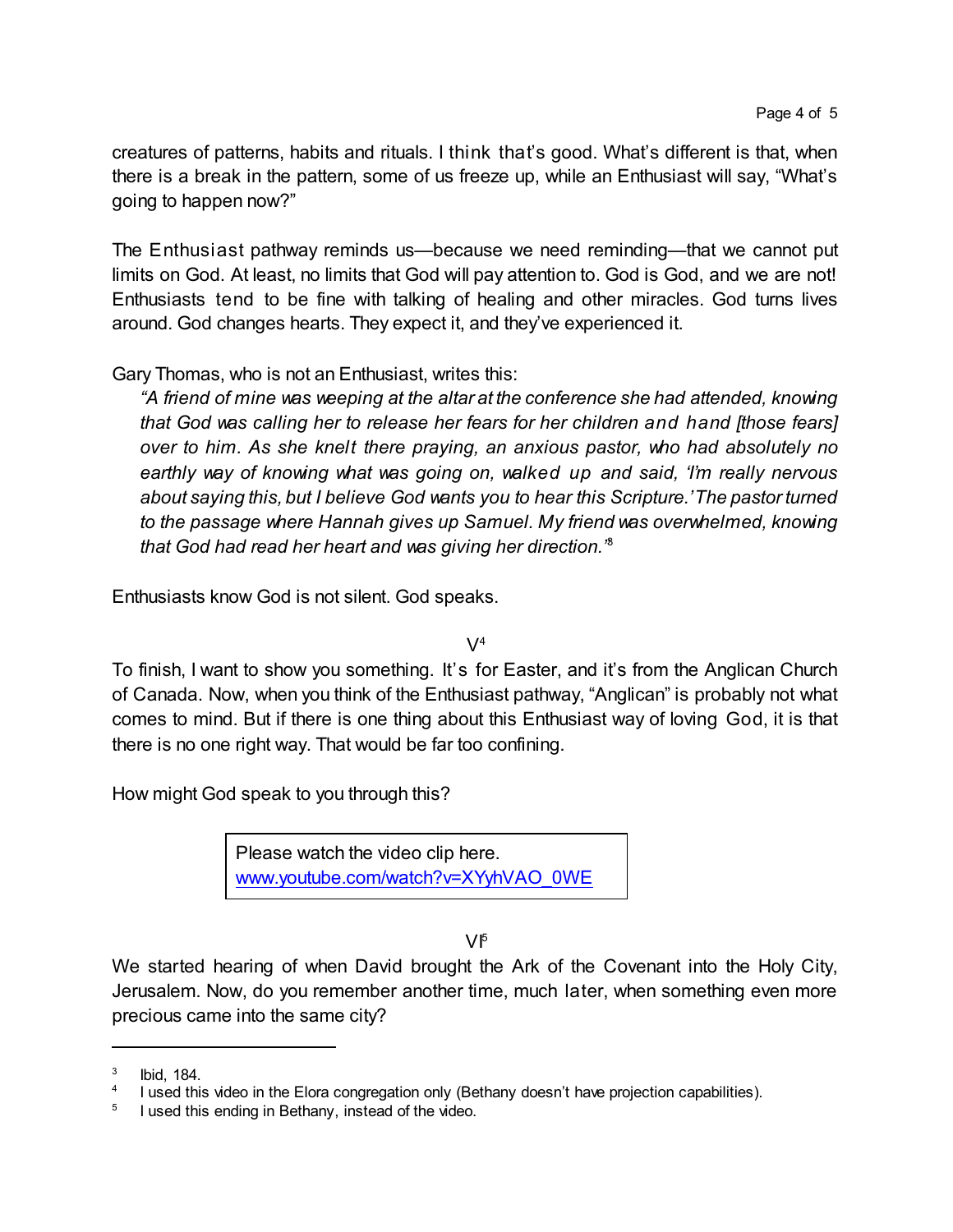creatures of patterns, habits and rituals. I think that's good. What's different is that, when there is a break in the pattern, some of us freeze up, while an Enthusiast will say, "What's going to happen now?"

The Enthusiast pathway reminds us—because we need reminding—that we cannot put limits on God. At least, no limits that God will pay attention to. God is God, and we are not! Enthusiasts tend to be fine with talking of healing and other miracles. God turns lives around. God changes hearts. They expect it, and they've experienced it.

Gary Thomas, who is not an Enthusiast, writes this:

*"A friend of mine was weeping at the altar at the conference she had attended, knowing that God was calling her to release her fears for her children and hand [those fears] over to him. As she knelt there praying, an anxious pastor, who had absolutely no earthly way of knowing what was going on, walked up and said, 'I'm really nervous about saying this, but I believe God wants you to hear this Scripture.'The pastorturned to the passage where Hannah gives up Samuel. My friend was overwhelmed, knowing that God had read her heart and was giving her direction."* 3

Enthusiasts know God is not silent. God speaks.

 $\mathsf{V}^4$ 

To finish, I want to show you something. It's for Easter, and it's from the Anglican Church of Canada. Now, when you think of the Enthusiast pathway, "Anglican" is probably not what comes to mind. But if there is one thing about this Enthusiast way of loving God, it is that there is no one right way. That would be far too confining.

How might God speak to you through this?

Please watch the video clip here. [www.youtube.com/watch?v=XYyhVAO\\_0WE](https://www.youtube.com/watch?v=XYyhVAO_0WE)

VI 5

We started hearing of when David brought the Ark of the Covenant into the Holy City, Jerusalem. Now, do you remember another time, much later, when something even more precious came into the same city?

<sup>3</sup> Ibid, 184.

<sup>4</sup> I used this video in the Elora congregation only (Bethany doesn't have projection capabilities).

<sup>5</sup> I used this ending in Bethany, instead of the video.